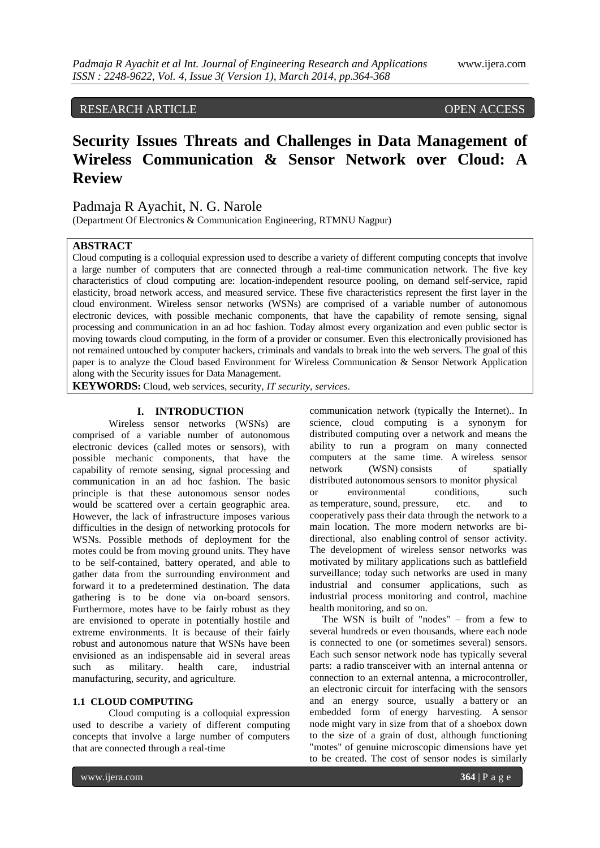# RESEARCH ARTICLE OPEN ACCESS

# **Security Issues Threats and Challenges in Data Management of Wireless Communication & Sensor Network over Cloud: A Review**

# Padmaja R Ayachit, N. G. Narole

(Department Of Electronics & Communication Engineering, RTMNU Nagpur)

## **ABSTRACT**

Cloud computing is a colloquial expression used to describe a variety of different [computing](http://en.wikipedia.org/wiki/Computing) concepts that involve a large number of computers that are connected through a real-time communication [network.](http://en.wikipedia.org/wiki/Computer_network) The five key characteristics of cloud computing are: location-independent resource pooling, on demand self-service, rapid elasticity, broad network access, and measured service. These five characteristics represent the first layer in the cloud environment. Wireless sensor networks (WSNs) are comprised of a variable number of autonomous electronic devices, with possible mechanic components, that have the capability of remote sensing, signal processing and communication in an ad hoc fashion. Today almost every organization and even public sector is moving towards cloud computing, in the form of a provider or consumer. Even this electronically provisioned has not remained untouched by computer hackers, criminals and vandals to break into the web servers. The goal of this paper is to analyze the Cloud based Environment for Wireless Communication & Sensor Network Application along with the Security issues for Data Management.

**KEYWORDS:** Cloud, web services, security, *IT security, services*.

## **I. INTRODUCTION**

Wireless sensor networks (WSNs) are comprised of a variable number of autonomous electronic devices (called motes or sensors), with possible mechanic components, that have the capability of remote sensing, signal processing and communication in an ad hoc fashion. The basic principle is that these autonomous sensor nodes would be scattered over a certain geographic area. However, the lack of infrastructure imposes various difficulties in the design of networking protocols for WSNs. Possible methods of deployment for the motes could be from moving ground units. They have to be self-contained, battery operated, and able to gather data from the surrounding environment and forward it to a predetermined destination. The data gathering is to be done via on-board sensors. Furthermore, motes have to be fairly robust as they are envisioned to operate in potentially hostile and extreme environments. It is because of their fairly robust and autonomous nature that WSNs have been envisioned as an indispensable aid in several areas such as military. health care, industrial manufacturing, security, and agriculture.

### **1.1 CLOUD COMPUTING**

Cloud computing is a colloquial expression used to describe a variety of different [computing](http://en.wikipedia.org/wiki/Computing) concepts that involve a large number of computers that are connected through a real-time

communication [network](http://en.wikipedia.org/wiki/Computer_network) (typically the [Internet\)](http://en.wikipedia.org/wiki/Internet).. In science, cloud computing is a synonym for [distributed computing](http://en.wikipedia.org/wiki/Distributed_computing) over a network and means the ability to run a program on many connected computers at the same time. A wireless sensor network (WSN) consists of spatially distributed [autonomous](http://en.wikipedia.org/wiki/Autonomous) [sensors](http://en.wikipedia.org/wiki/Sensor) to monitor physical or environmental conditions, such as [temperature,](http://en.wikipedia.org/wiki/Temperature) [sound,](http://en.wikipedia.org/wiki/Sound) [pressure,](http://en.wikipedia.org/wiki/Pressure) etc. and to cooperatively pass their data through the network to a main location. The more modern networks are bidirectional, also enabling control of sensor activity. The development of wireless sensor networks was motivated by military applications such as battlefield surveillance; today such networks are used in many industrial and consumer applications, such as industrial process monitoring and control, machine health monitoring, and so on.

 The WSN is built of "nodes" – from a few to several hundreds or even thousands, where each node is connected to one (or sometimes several) sensors. Each such sensor network node has typically several parts: a [radio](http://en.wikipedia.org/wiki/Radio) [transceiver](http://en.wikipedia.org/wiki/Transceiver) with an internal [antenna](http://en.wikipedia.org/wiki/Antenna_(radio)) or connection to an external antenna, a [microcontroller,](http://en.wikipedia.org/wiki/Microcontroller) an electronic circuit for interfacing with the sensors and an energy source, usually a [battery](http://en.wikipedia.org/wiki/Battery_(electricity)) or an embedded form of [energy harvesting.](http://en.wikipedia.org/wiki/Energy_harvesting) A [sensor](http://en.wikipedia.org/wiki/Sensor_node)  [node](http://en.wikipedia.org/wiki/Sensor_node) might vary in size from that of a shoebox down to the size of a grain of dust, although functioning "motes" of genuine microscopic dimensions have yet to be created. The cost of sensor nodes is similarly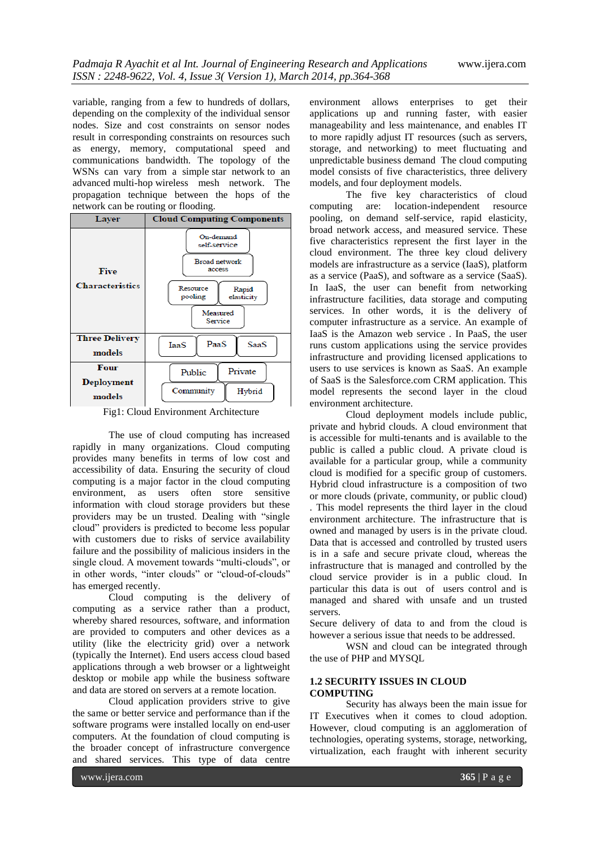variable, ranging from a few to hundreds of dollars, depending on the complexity of the individual sensor nodes. Size and cost constraints on sensor nodes result in corresponding constraints on resources such as energy, memory, computational speed and communications bandwidth. The topology of the WSNs can vary from a simple [star network](http://en.wikipedia.org/wiki/Star_network) to an advanced [multi-hop](http://en.wikipedia.org/wiki/Mesh_networking) [wireless mesh network.](http://en.wikipedia.org/wiki/Wireless_mesh_network) The propagation technique between the hops of the network can be routing or flooding.



Fig1: Cloud Environment Architecture

The use of cloud computing has increased rapidly in many organizations. Cloud computing provides many benefits in terms of low cost and accessibility of data. Ensuring the security of cloud computing is a major factor in the cloud computing environment, as users often store sensitive information with cloud storage providers but these providers may be un trusted. Dealing with "single cloud" providers is predicted to become less popular with customers due to risks of service availability failure and the possibility of malicious insiders in the single cloud. A movement towards "multi-clouds", or in other words, "inter clouds" or "cloud-of-clouds" has emerged recently.

Cloud computing is the delivery of computing as a service rather than a product, whereby shared resources, software, and information are provided to computers and other devices as a utility (like the electricity grid) over a network (typically the Internet). End users access cloud based applications through a web browser or a lightweight desktop or mobile app while the business software and data are stored on servers at a remote location.

Cloud application providers strive to give the same or better service and performance than if the software programs were installed locally on end-user computers. At the foundation of cloud computing is the broader concept of infrastructure convergence and shared services. This type of data centre

environment allows enterprises to get their applications up and running faster, with easier manageability and less maintenance, and enables IT to more rapidly adjust IT resources (such as servers, storage, and networking) to meet fluctuating and unpredictable business demand The cloud computing model consists of five characteristics, three delivery models, and four deployment models.

The five key characteristics of cloud computing are: location-independent resource pooling, on demand self-service, rapid elasticity, broad network access, and measured service. These five characteristics represent the first layer in the cloud environment. The three key cloud delivery models are infrastructure as a service (IaaS), platform as a service (PaaS), and software as a service (SaaS). In IaaS, the user can benefit from networking infrastructure facilities, data storage and computing services. In other words, it is the delivery of computer infrastructure as a service. An example of IaaS is the Amazon web service . In PaaS, the user runs custom applications using the service provides infrastructure and providing licensed applications to users to use services is known as SaaS. An example of SaaS is the Salesforce.com CRM application. This model represents the second layer in the cloud environment architecture.

Cloud deployment models include public, private and hybrid clouds. A cloud environment that is accessible for multi-tenants and is available to the public is called a public cloud. A private cloud is available for a particular group, while a community cloud is modified for a specific group of customers. Hybrid cloud infrastructure is a composition of two or more clouds (private, community, or public cloud) . This model represents the third layer in the cloud environment architecture. The infrastructure that is owned and managed by users is in the private cloud. Data that is accessed and controlled by trusted users is in a safe and secure private cloud, whereas the infrastructure that is managed and controlled by the cloud service provider is in a public cloud. In particular this data is out of users control and is managed and shared with unsafe and un trusted servers.

Secure delivery of data to and from the cloud is however a serious issue that needs to be addressed.

WSN and cloud can be integrated through the use of PHP and MYSQL

## **1.2 SECURITY ISSUES IN CLOUD COMPUTING**

Security has always been the main issue for IT Executives when it comes to cloud adoption. However, cloud computing is an agglomeration of technologies, operating systems, storage, networking, virtualization, each fraught with inherent security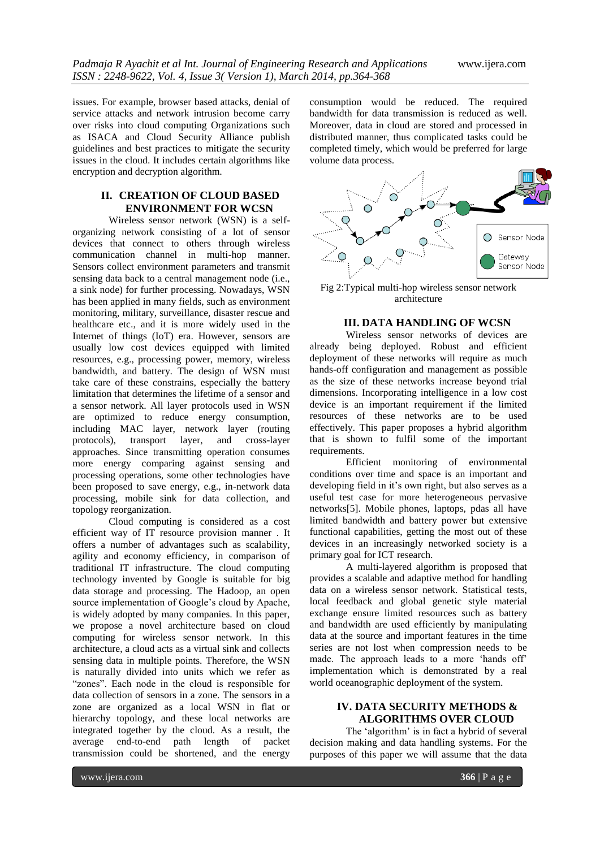issues. For example, browser based attacks, denial of service attacks and network intrusion become carry over risks into cloud computing Organizations such as ISACA and Cloud Security Alliance publish guidelines and best practices to mitigate the security issues in the cloud. It includes certain algorithms like encryption and decryption algorithm.

# **II. CREATION OF CLOUD BASED ENVIRONMENT FOR WCSN**

Wireless sensor network (WSN) is a selforganizing network consisting of a lot of sensor devices that connect to others through wireless communication channel in multi-hop manner. Sensors collect environment parameters and transmit sensing data back to a central management node (i.e., a sink node) for further processing. Nowadays, WSN has been applied in many fields, such as environment monitoring, military, surveillance, disaster rescue and healthcare etc., and it is more widely used in the Internet of things (IoT) era. However, sensors are usually low cost devices equipped with limited resources, e.g., processing power, memory, wireless bandwidth, and battery. The design of WSN must take care of these constrains, especially the battery limitation that determines the lifetime of a sensor and a sensor network. All layer protocols used in WSN are optimized to reduce energy consumption, including MAC layer, network layer (routing protocols), transport layer, and cross-layer approaches. Since transmitting operation consumes more energy comparing against sensing and processing operations, some other technologies have been proposed to save energy, e.g., in-network data processing, mobile sink for data collection, and topology reorganization.

Cloud computing is considered as a cost efficient way of IT resource provision manner . It offers a number of advantages such as scalability, agility and economy efficiency, in comparison of traditional IT infrastructure. The cloud computing technology invented by Google is suitable for big data storage and processing. The Hadoop, an open source implementation of Google's cloud by Apache, is widely adopted by many companies. In this paper, we propose a novel architecture based on cloud computing for wireless sensor network. In this architecture, a cloud acts as a virtual sink and collects sensing data in multiple points. Therefore, the WSN is naturally divided into units which we refer as "zones". Each node in the cloud is responsible for data collection of sensors in a zone. The sensors in a zone are organized as a local WSN in flat or hierarchy topology, and these local networks are integrated together by the cloud. As a result, the average end-to-end path length of packet transmission could be shortened, and the energy

consumption would be reduced. The required bandwidth for data transmission is reduced as well. Moreover, data in cloud are stored and processed in distributed manner, thus complicated tasks could be completed timely, which would be preferred for large volume data process.



Fig 2:Typical multi-hop wireless sensor network architecture

#### **III. DATA HANDLING OF WCSN**

Wireless sensor networks of devices are already being deployed. Robust and efficient deployment of these networks will require as much hands-off configuration and management as possible as the size of these networks increase beyond trial dimensions. Incorporating intelligence in a low cost device is an important requirement if the limited resources of these networks are to be used effectively. This paper proposes a hybrid algorithm that is shown to fulfil some of the important requirements.

Efficient monitoring of environmental conditions over time and space is an important and developing field in it's own right, but also serves as a useful test case for more heterogeneous pervasive networks[5]. Mobile phones, laptops, pdas all have limited bandwidth and battery power but extensive functional capabilities, getting the most out of these devices in an increasingly networked society is a primary goal for ICT research.

A multi-layered algorithm is proposed that provides a scalable and adaptive method for handling data on a wireless sensor network. Statistical tests, local feedback and global genetic style material exchange ensure limited resources such as battery and bandwidth are used efficiently by manipulating data at the source and important features in the time series are not lost when compression needs to be made. The approach leads to a more 'hands off' implementation which is demonstrated by a real world oceanographic deployment of the system.

# **IV. DATA SECURITY METHODS & ALGORITHMS OVER CLOUD**

The 'algorithm' is in fact a hybrid of several decision making and data handling systems. For the purposes of this paper we will assume that the data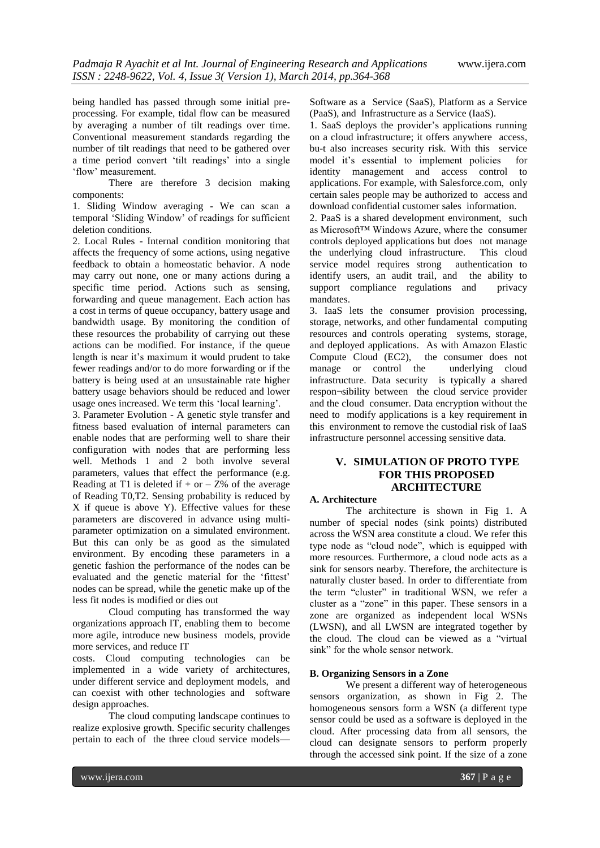being handled has passed through some initial preprocessing. For example, tidal flow can be measured by averaging a number of tilt readings over time. Conventional measurement standards regarding the number of tilt readings that need to be gathered over a time period convert ‗tilt readings' into a single ‗flow' measurement.

There are therefore 3 decision making components:

1. Sliding Window averaging - We can scan a temporal ‗Sliding Window' of readings for sufficient deletion conditions.

2. Local Rules - Internal condition monitoring that affects the frequency of some actions, using negative feedback to obtain a homeostatic behavior. A node may carry out none, one or many actions during a specific time period. Actions such as sensing, forwarding and queue management. Each action has a cost in terms of queue occupancy, battery usage and bandwidth usage. By monitoring the condition of these resources the probability of carrying out these actions can be modified. For instance, if the queue length is near it's maximum it would prudent to take fewer readings and/or to do more forwarding or if the battery is being used at an unsustainable rate higher battery usage behaviors should be reduced and lower usage ones increased. We term this 'local learning'.

3. Parameter Evolution - A genetic style transfer and fitness based evaluation of internal parameters can enable nodes that are performing well to share their configuration with nodes that are performing less well. Methods 1 and 2 both involve several parameters, values that effect the performance (e.g. Reading at T1 is deleted if  $+$  or  $-$  Z% of the average of Reading T0,T2. Sensing probability is reduced by X if queue is above Y). Effective values for these parameters are discovered in advance using multiparameter optimization on a simulated environment. But this can only be as good as the simulated environment. By encoding these parameters in a genetic fashion the performance of the nodes can be evaluated and the genetic material for the 'fittest' nodes can be spread, while the genetic make up of the less fit nodes is modified or dies out

Cloud computing has transformed the way organizations approach IT, enabling them to become more agile, introduce new business models, provide more services, and reduce IT

costs. Cloud computing technologies can be implemented in a wide variety of architectures, under different service and deployment models, and can coexist with other technologies and software design approaches.

The cloud computing landscape continues to realize explosive growth. Specific security challenges pertain to each of the three cloud service modelsSoftware as a Service (SaaS), Platform as a Service (PaaS), and Infrastructure as a Service (IaaS).

1. SaaS deploys the provider's applications running on a cloud infrastructure; it offers anywhere access, bu-t also increases security risk. With this service model it's essential to implement policies for identity management and access control to applications. For example, with Salesforce.com, only certain sales people may be authorized to access and download confidential customer sales information.

2. PaaS is a shared development environment, such as Microsoft™ Windows Azure, where the consumer controls deployed applications but does not manage the underlying cloud infrastructure. This cloud service model requires strong authentication to identify users, an audit trail, and the ability to support compliance regulations and privacy mandates.

3. IaaS lets the consumer provision processing, storage, networks, and other fundamental computing resources and controls operating systems, storage, and deployed applications. As with Amazon Elastic Compute Cloud (EC2), the consumer does not manage or control the underlying cloud infrastructure. Data security is typically a shared respon¬sibility between the cloud service provider and the cloud consumer. Data encryption without the need to modify applications is a key requirement in this environment to remove the custodial risk of IaaS infrastructure personnel accessing sensitive data.

# **V. SIMULATION OF PROTO TYPE FOR THIS PROPOSED ARCHITECTURE**

## **A. Architecture**

The architecture is shown in Fig 1. A number of special nodes (sink points) distributed across the WSN area constitute a cloud. We refer this type node as "cloud node", which is equipped with more resources. Furthermore, a cloud node acts as a sink for sensors nearby. Therefore, the architecture is naturally cluster based. In order to differentiate from the term "cluster" in traditional WSN, we refer a cluster as a "zone" in this paper. These sensors in a zone are organized as independent local WSNs (LWSN), and all LWSN are integrated together by the cloud. The cloud can be viewed as a "virtual sink" for the whole sensor network.

#### **B. Organizing Sensors in a Zone**

We present a different way of heterogeneous sensors organization, as shown in Fig 2. The homogeneous sensors form a WSN (a different type sensor could be used as a software is deployed in the cloud. After processing data from all sensors, the cloud can designate sensors to perform properly through the accessed sink point. If the size of a zone